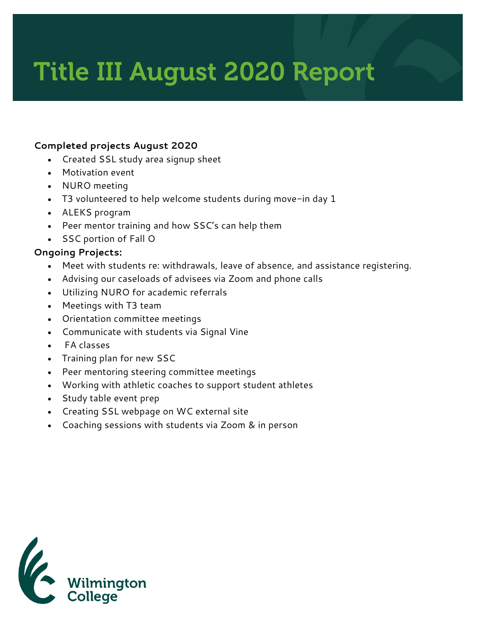## Title III August 2020 Report

## **Completed projects August 2020**

- Created SSL study area signup sheet
- Motivation event
- NURO meeting
- T3 volunteered to help welcome students during move-in day 1
- ALEKS program
- Peer mentor training and how SSC's can help them
- SSC portion of Fall O

## **Ongoing Projects:**

- Meet with students re: withdrawals, leave of absence, and assistance registering.
- Advising our caseloads of advisees via Zoom and phone calls
- Utilizing NURO for academic referrals
- Meetings with T3 team
- Orientation committee meetings
- Communicate with students via Signal Vine
- FA classes
- Training plan for new SSC
- Peer mentoring steering committee meetings
- Working with athletic coaches to support student athletes
- Study table event prep
- Creating SSL webpage on WC external site
- Coaching sessions with students via Zoom & in person

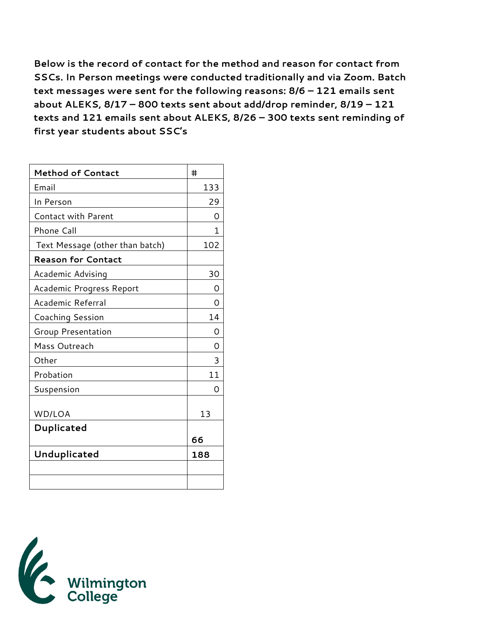**Below is the record of contact for the method and reason for contact from SSCs. In Person meetings were conducted traditionally and via Zoom. Batch text messages were sent for the following reasons: 8/6 – 121 emails sent about ALEKS, 8/17 – 800 texts sent about add/drop reminder, 8/19 – 121 texts and 121 emails sent about ALEKS, 8/26 – 300 texts sent reminding of first year students about SSC's**

| <b>Method of Contact</b>        | #   |
|---------------------------------|-----|
| Email                           | 133 |
| In Person                       | 29  |
| <b>Contact with Parent</b>      | Ω   |
| Phone Call                      | 1.  |
| Text Message (other than batch) | 102 |
| <b>Reason for Contact</b>       |     |
| Academic Advising               | 30  |
| Academic Progress Report        | Ω   |
| Academic Referral               | Ω   |
| Coaching Session                | 14  |
| <b>Group Presentation</b>       | Ω   |
| Mass Outreach                   | Ω   |
| Other                           | 3   |
| Probation                       | 11  |
| Suspension                      | Ω   |
| WD/LOA                          | 13  |
| Duplicated                      |     |
|                                 | 66  |
| Unduplicated                    | 188 |
|                                 |     |
|                                 |     |